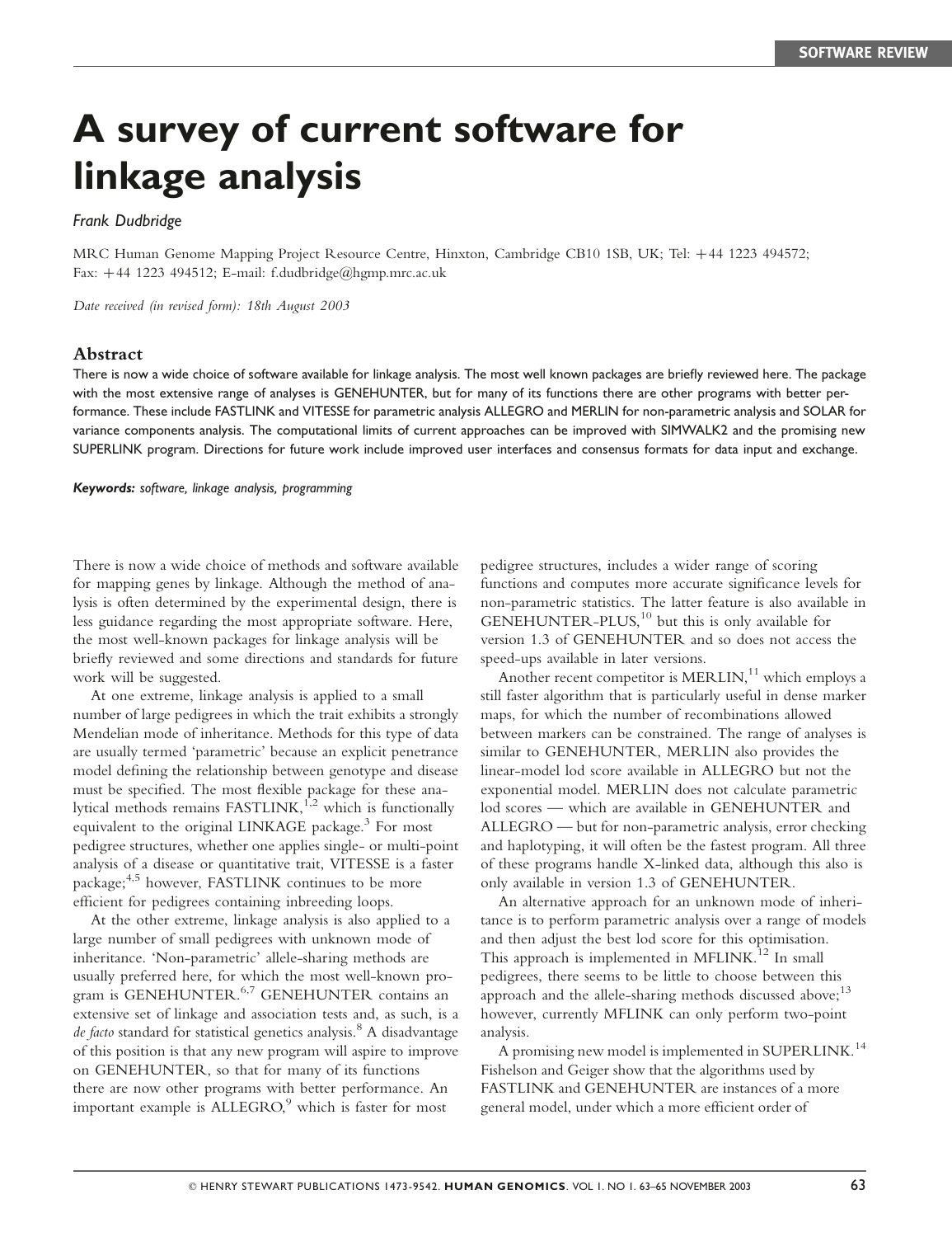# A survey of current software for linkage analysis

### Frank Dudbridge

MRC Human Genome Mapping Project Resource Centre, Hinxton, Cambridge CB10 1SB, UK; Tel: +44 1223 494572; Fax:  $+44$  1223 494512; E-mail: f.dudbridge@hgmp.mrc.ac.uk

Date received (in revised form): 18th August 2003

#### Abstract

There is now a wide choice of software available for linkage analysis. The most well known packages are briefly reviewed here. The package with the most extensive range of analyses is GENEHUNTER, but for many of its functions there are other programs with better performance. These include FASTLINK and VITESSE for parametric analysis ALLEGRO and MERLIN for non-parametric analysis and SOLAR for variance components analysis. The computational limits of current approaches can be improved with SIMWALK2 and the promising new SUPERLINK program. Directions for future work include improved user interfaces and consensus formats for data input and exchange.

#### Keywords: software, linkage analysis, programming

There is now a wide choice of methods and software available for mapping genes by linkage. Although the method of analysis is often determined by the experimental design, there is less guidance regarding the most appropriate software. Here, the most well-known packages for linkage analysis will be briefly reviewed and some directions and standards for future work will be suggested.

At one extreme, linkage analysis is applied to a small number of large pedigrees in which the trait exhibits a strongly Mendelian mode of inheritance. Methods for this type of data are usually termed 'parametric' because an explicit penetrance model defining the relationship between genotype and disease must be specified. The most flexible package for these analytical methods remains FASTLINK,<sup>1,2</sup> which is functionally equivalent to the original LINKAGE package.<sup>3</sup> For most pedigree structures, whether one applies single- or multi-point analysis of a disease or quantitative trait, VITESSE is a faster package;<sup>4,5</sup> however, FASTLINK continues to be more efficient for pedigrees containing inbreeding loops.

At the other extreme, linkage analysis is also applied to a large number of small pedigrees with unknown mode of inheritance. 'Non-parametric' allele-sharing methods are usually preferred here, for which the most well-known program is GENEHUNTER.<sup>6,7</sup> GENEHUNTER contains an extensive set of linkage and association tests and, as such, is a de facto standard for statistical genetics analysis.<sup>8</sup> A disadvantage of this position is that any new program will aspire to improve on GENEHUNTER, so that for many of its functions there are now other programs with better performance. An important example is  $ALLEGRO$ , which is faster for most

pedigree structures, includes a wider range of scoring functions and computes more accurate significance levels for non-parametric statistics. The latter feature is also available in GENEHUNTER-PLUS, $10$  but this is only available for version 1.3 of GENEHUNTER and so does not access the speed-ups available in later versions.

Another recent competitor is MERLIN, $11$  which employs a still faster algorithm that is particularly useful in dense marker maps, for which the number of recombinations allowed between markers can be constrained. The range of analyses is similar to GENEHUNTER, MERLIN also provides the linear-model lod score available in ALLEGRO but not the exponential model. MERLIN does not calculate parametric lod scores — which are available in GENEHUNTER and ALLEGRO — but for non-parametric analysis, error checking and haplotyping, it will often be the fastest program. All three of these programs handle X-linked data, although this also is only available in version 1.3 of GENEHUNTER.

An alternative approach for an unknown mode of inheritance is to perform parametric analysis over a range of models and then adjust the best lod score for this optimisation. This approach is implemented in MFLINK.<sup>12</sup> In small pedigrees, there seems to be little to choose between this approach and the allele-sharing methods discussed above;<sup>13</sup> however, currently MFLINK can only perform two-point analysis.

A promising new model is implemented in SUPERLINK.<sup>14</sup> Fishelson and Geiger show that the algorithms used by FASTLINK and GENEHUNTER are instances of a more general model, under which a more efficient order of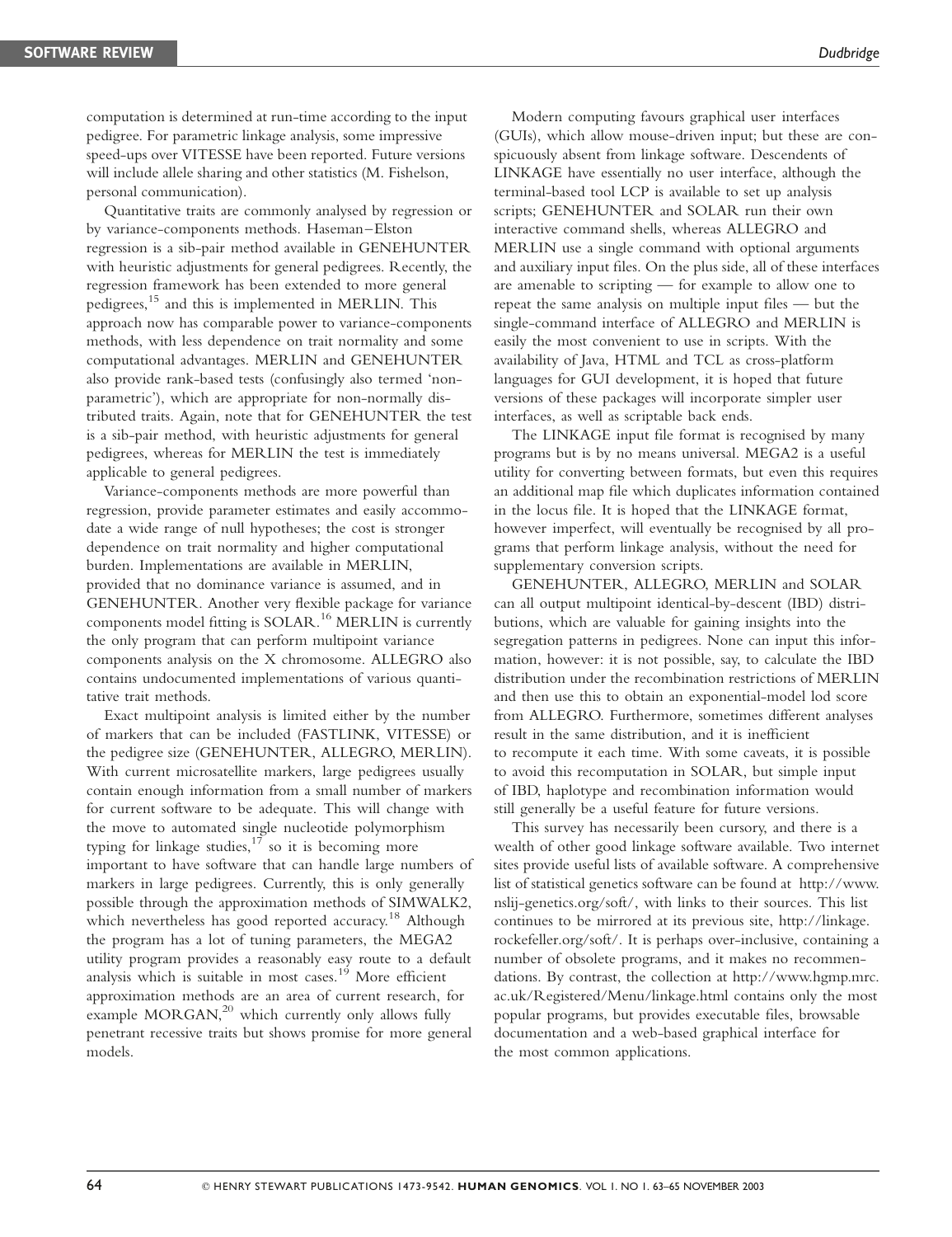computation is determined at run-time according to the input pedigree. For parametric linkage analysis, some impressive speed-ups over VITESSE have been reported. Future versions will include allele sharing and other statistics (M. Fishelson, personal communication).

Quantitative traits are commonly analysed by regression or by variance-components methods. Haseman–Elston regression is a sib-pair method available in GENEHUNTER with heuristic adjustments for general pedigrees. Recently, the regression framework has been extended to more general pedigrees,15 and this is implemented in MERLIN. This approach now has comparable power to variance-components methods, with less dependence on trait normality and some computational advantages. MERLIN and GENEHUNTER also provide rank-based tests (confusingly also termed 'nonparametric'), which are appropriate for non-normally distributed traits. Again, note that for GENEHUNTER the test is a sib-pair method, with heuristic adjustments for general pedigrees, whereas for MERLIN the test is immediately applicable to general pedigrees.

Variance-components methods are more powerful than regression, provide parameter estimates and easily accommodate a wide range of null hypotheses; the cost is stronger dependence on trait normality and higher computational burden. Implementations are available in MERLIN, provided that no dominance variance is assumed, and in GENEHUNTER. Another very flexible package for variance components model fitting is SOLAR.<sup>16</sup> MERLIN is currently the only program that can perform multipoint variance components analysis on the X chromosome. ALLEGRO also contains undocumented implementations of various quantitative trait methods.

Exact multipoint analysis is limited either by the number of markers that can be included (FASTLINK, VITESSE) or the pedigree size (GENEHUNTER, ALLEGRO, MERLIN). With current microsatellite markers, large pedigrees usually contain enough information from a small number of markers for current software to be adequate. This will change with the move to automated single nucleotide polymorphism typing for linkage studies, $17$  so it is becoming more important to have software that can handle large numbers of markers in large pedigrees. Currently, this is only generally possible through the approximation methods of SIMWALK2, which nevertheless has good reported accuracy.<sup>18</sup> Although the program has a lot of tuning parameters, the MEGA2 utility program provides a reasonably easy route to a default analysis which is suitable in most cases.<sup>19</sup> More efficient approximation methods are an area of current research, for example MORGAN, $^{20}$  which currently only allows fully penetrant recessive traits but shows promise for more general models.

Modern computing favours graphical user interfaces (GUIs), which allow mouse-driven input; but these are conspicuously absent from linkage software. Descendents of LINKAGE have essentially no user interface, although the terminal-based tool LCP is available to set up analysis scripts; GENEHUNTER and SOLAR run their own interactive command shells, whereas ALLEGRO and MERLIN use a single command with optional arguments and auxiliary input files. On the plus side, all of these interfaces are amenable to scripting — for example to allow one to repeat the same analysis on multiple input files — but the single-command interface of ALLEGRO and MERLIN is easily the most convenient to use in scripts. With the availability of Java, HTML and TCL as cross-platform languages for GUI development, it is hoped that future versions of these packages will incorporate simpler user interfaces, as well as scriptable back ends.

The LINKAGE input file format is recognised by many programs but is by no means universal. MEGA2 is a useful utility for converting between formats, but even this requires an additional map file which duplicates information contained in the locus file. It is hoped that the LINKAGE format, however imperfect, will eventually be recognised by all programs that perform linkage analysis, without the need for supplementary conversion scripts.

GENEHUNTER, ALLEGRO, MERLIN and SOLAR can all output multipoint identical-by-descent (IBD) distributions, which are valuable for gaining insights into the segregation patterns in pedigrees. None can input this information, however: it is not possible, say, to calculate the IBD distribution under the recombination restrictions of MERLIN and then use this to obtain an exponential-model lod score from ALLEGRO. Furthermore, sometimes different analyses result in the same distribution, and it is inefficient to recompute it each time. With some caveats, it is possible to avoid this recomputation in SOLAR, but simple input of IBD, haplotype and recombination information would still generally be a useful feature for future versions.

This survey has necessarily been cursory, and there is a wealth of other good linkage software available. Two internet sites provide useful lists of available software. A comprehensive list of statistical genetics software can be found at http://www. nslij-genetics.org/soft/, with links to their sources. This list continues to be mirrored at its previous site, http://linkage. rockefeller.org/soft/. It is perhaps over-inclusive, containing a number of obsolete programs, and it makes no recommendations. By contrast, the collection at http://www.hgmp.mrc. ac.uk/Registered/Menu/linkage.html contains only the most popular programs, but provides executable files, browsable documentation and a web-based graphical interface for the most common applications.